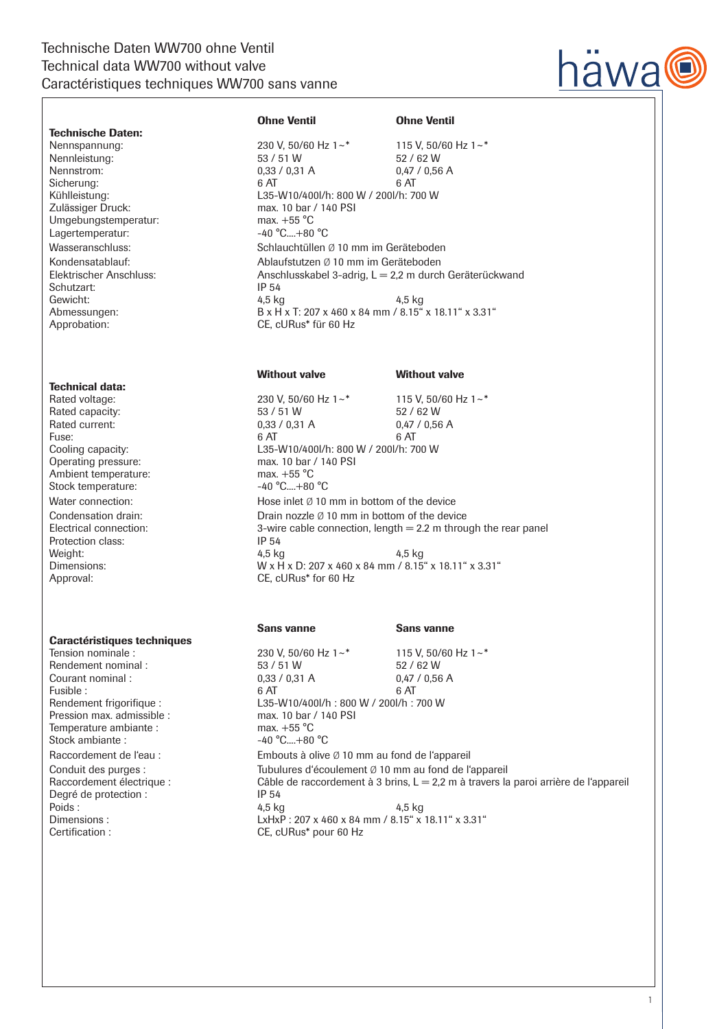### Technische Daten WW700 ohne Ventil Technical data WW700 without valve Caractéristiques techniques WW700 sans vanne

# Technische Daten:<br>Nennspannung: Sicherung:<br>Kühlleistung: Umgebungstemperatur: max. +55 °C<br>Lagertemperatur: - 40 °C....+80 °C Lagertemperatur: Schutzart: IP 54<br>Gewicht: 4,5 kg Approbation: CE, cURus<sup>\*</sup> für 60 Hz

## **Technical data:**<br>Rated voltage:

Ambient temperature: max. +55 °C<br>Stock temperature:  $-40$  °C...+80 °C Stock temperature: Protection class: IP 54<br>Weight: 4,5 kg

#### Caractéristiques techniques

Pression max. admissible : max. 10 bar / 140 Pression max. 10 bar / 140 Passible : max.  $+55^{\circ}$ C Temperature ambiante :<br>Stock ambiante :

Degré de protection :<br>Poids : IP 54<br>4,5 kg Certification : CE, cURus\* pour 60 Hz

# Ohne Ventil Ohne Ventil

230 V, 50/60 Hz  $1~~$   $~$  115 V, 50/60 Hz  $1~$   $~$   $~$ Nennleistung: 53 / 51 W 52 / 62 W<br>Nennstrom: 633 / 0.31 A 52 / 0.56 Nennstrom: 0,33 / 0,31 A 0,47 / 0,56 A<br>Sicherung: 6 AT 6 AT 6 AT Kühlleistung: L35-W10/400l/h: 800 W / 200l/h: 700 W max. 10 bar / 140 PSI<br>max.  $+55$  °C Wasseranschluss: Schlauchtüllen Ø 10 mm im Geräteboden Kondensatablauf: <br>
Elektrischer Anschluss: Anschlusskabel 3-adrig, L = 2.2 m durch Anschlusskabel 3-adrig, L = 2,2 m durch Geräterückwand Gewicht: 4,5 kg 4,5 kg Abmessungen: B x H x T: 207 x 460 x 84 mm / 8.15" x 18.11" x 3.31"

#### Without valve **Without valve**

 $230$  V, 50/60 Hz 1~\* 115 V, 50/60 Hz 1~\*<br>53 / 51 W 52 / 62 W Rated capacity:  $53 / 51 W$  52 / 62 W<br>Rated current:  $0.33 / 0.31 A$  6.47 /  $0.56 A$ Rated current:  $0,33 / 0,31$  A  $0,47$ <br>Fuse: 6 AT 6 AT 6 AT Fuse: 6 AT 6 AT 6 AT Cooling capacity: L35-W10/400l/h: 800 W / 200l/h: 700 W max. 10 bar / 140 PSI<br>max.  $+55$  °C Water connection: <br>
Hose inlet Ø 10 mm in bottom of the device Condensation drain:  $D$  Drain nozzle  $\emptyset$  10 mm in bottom of the device<br>Electrical connection:  $3$ -wire cable connection, length = 2.2 m throu 3-wire cable connection, length  $= 2.2$  m through the rear panel Weight: 4,5 kg 4,5 kg Dimensions: W x H x D: 207 x 460 x 84 mm / 8.15" x 18.11" x 3.31" Approval: CE, cURus<sup>\*</sup> for 60 Hz

### Sans vanne Sans vanne Tension nominale : 230 V, 50/60 Hz 1 $\sim$  230 V, 50/60 Hz 1 $\sim$  115 V, 50/60 Hz 1 $\sim$  115 V, 50/60 Hz 1 $\sim$  1 Rendement nominal :  $53 / 51$  W 52 / 62 W<br>Courant nominal :  $0.33 / 0.31$  A  $0.47 / 0.56$  A Courant nominal : 0,33 / 0,31 A 0,47<br>
Fusible : 6 AT 6 AT 6 AT Fusible : 6 AT 6 AT 6 AT Rendement frigorifique : L35-W10/400l/h : 800 W / 200l/h : 700 W -40 °C....+80 °C

Raccordement de l'eau : Embouts à olive Ø 10 mm au fond de l'appareil Conduit des purges :<br>
Raccordement électrique :<br>
Câble de raccordement à 3 brins, L = 2,2 m à travers la<br>
Câble de raccordement à 3 brins, L = 2,2 m à travers la Câble de raccordement à 3 brins, L = 2,2 m à travers la paroi arrière de l'appareil IP 54 Poids : 4,5 kg 4,5 kg Dimensions : LxHxP : 207 x 460 x 84 mm / 8.15" x 18.11" x 3.31"

äwa